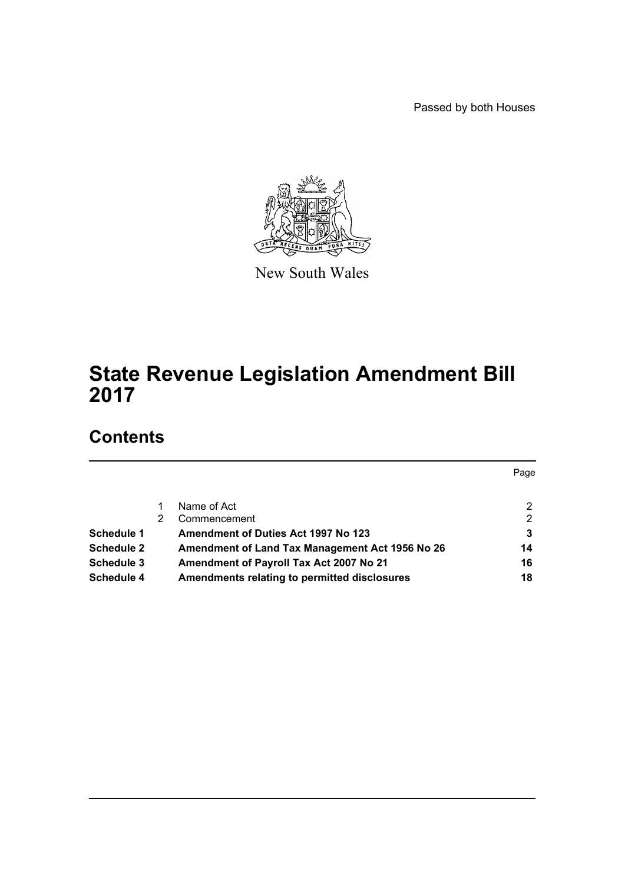Passed by both Houses



New South Wales

# **State Revenue Legislation Amendment Bill 2017**

# **Contents**

|                   |   |                                                 | Page |
|-------------------|---|-------------------------------------------------|------|
|                   |   | Name of Act                                     | 2    |
|                   | 2 | Commencement                                    | 2    |
| Schedule 1        |   | <b>Amendment of Duties Act 1997 No 123</b>      | 3    |
| <b>Schedule 2</b> |   | Amendment of Land Tax Management Act 1956 No 26 | 14   |
| Schedule 3        |   | Amendment of Payroll Tax Act 2007 No 21         | 16   |
| Schedule 4        |   | Amendments relating to permitted disclosures    | 18   |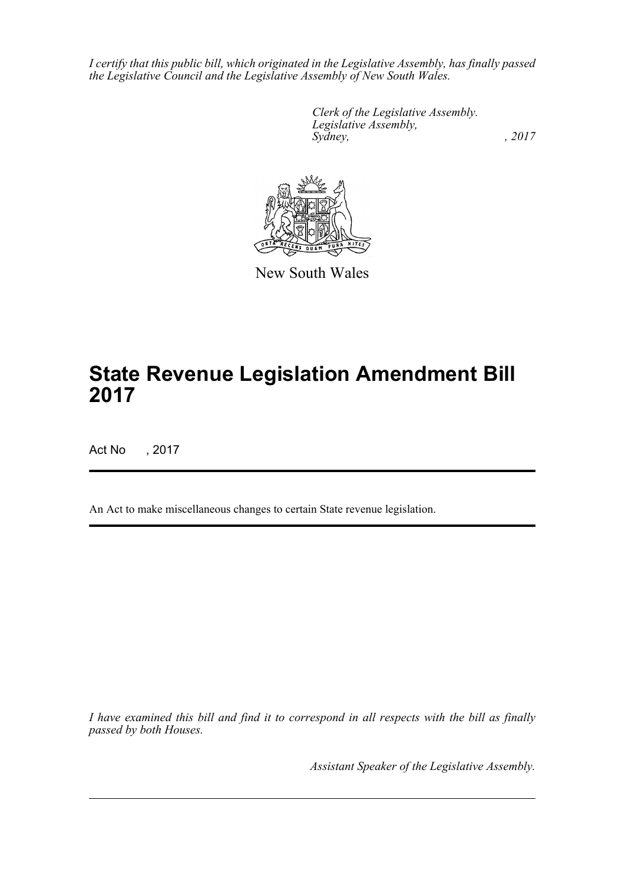*I certify that this public bill, which originated in the Legislative Assembly, has finally passed the Legislative Council and the Legislative Assembly of New South Wales.*

> *Clerk of the Legislative Assembly. Legislative Assembly, Sydney,* , 2017



New South Wales

# **State Revenue Legislation Amendment Bill 2017**

Act No , 2017

An Act to make miscellaneous changes to certain State revenue legislation.

*I have examined this bill and find it to correspond in all respects with the bill as finally passed by both Houses.*

*Assistant Speaker of the Legislative Assembly.*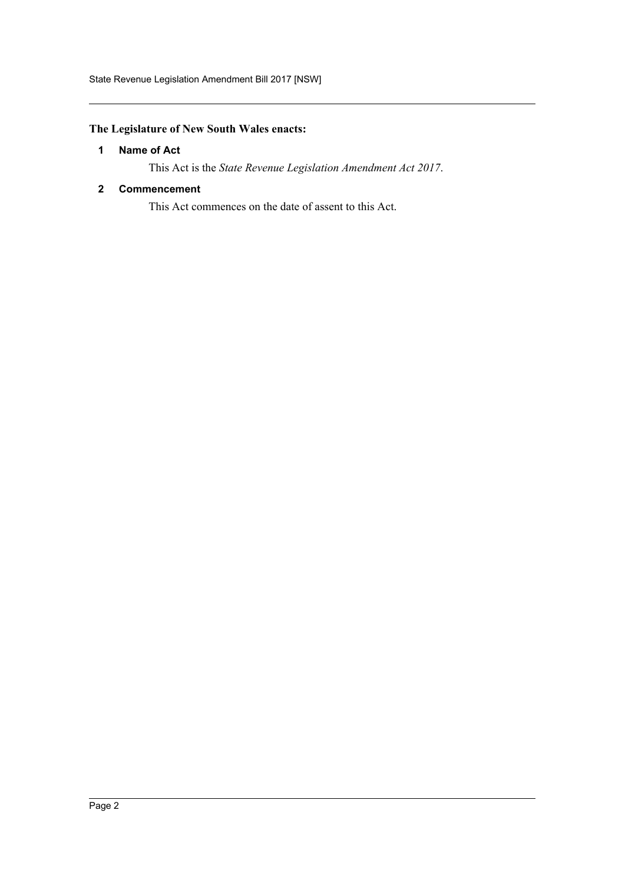## <span id="page-2-0"></span>**The Legislature of New South Wales enacts:**

#### **1 Name of Act**

This Act is the *State Revenue Legislation Amendment Act 2017*.

#### <span id="page-2-1"></span>**2 Commencement**

This Act commences on the date of assent to this Act.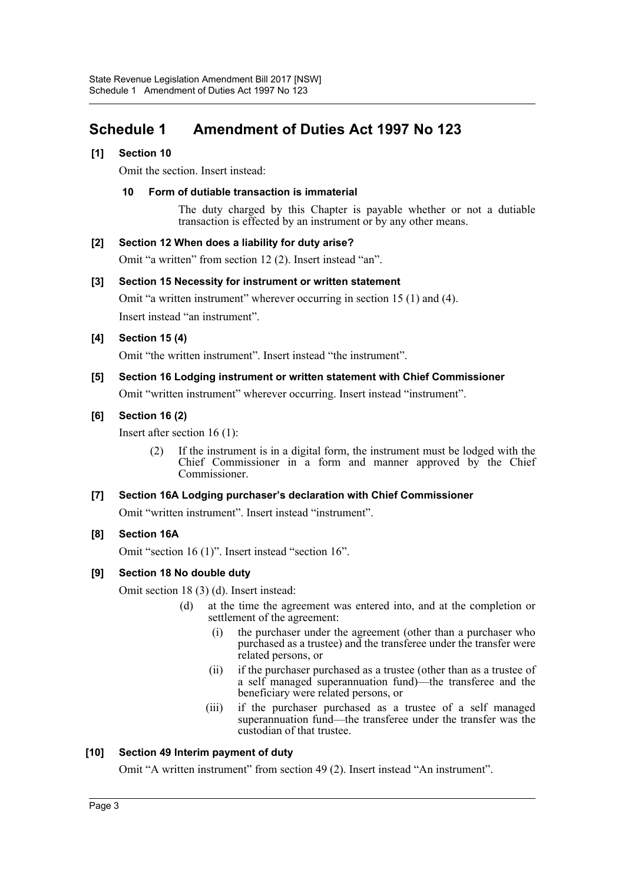## <span id="page-3-0"></span>**Schedule 1 Amendment of Duties Act 1997 No 123**

#### **[1] Section 10**

Omit the section. Insert instead:

#### **10 Form of dutiable transaction is immaterial**

The duty charged by this Chapter is payable whether or not a dutiable transaction is effected by an instrument or by any other means.

#### **[2] Section 12 When does a liability for duty arise?**

Omit "a written" from section 12 (2). Insert instead "an".

#### **[3] Section 15 Necessity for instrument or written statement**

Omit "a written instrument" wherever occurring in section 15 (1) and (4). Insert instead "an instrument".

#### **[4] Section 15 (4)**

Omit "the written instrument". Insert instead "the instrument".

#### **[5] Section 16 Lodging instrument or written statement with Chief Commissioner**

Omit "written instrument" wherever occurring. Insert instead "instrument".

#### **[6] Section 16 (2)**

Insert after section 16 (1):

(2) If the instrument is in a digital form, the instrument must be lodged with the Chief Commissioner in a form and manner approved by the Chief Commissioner.

#### **[7] Section 16A Lodging purchaser's declaration with Chief Commissioner**

Omit "written instrument". Insert instead "instrument".

#### **[8] Section 16A**

Omit "section 16 (1)". Insert instead "section 16".

#### **[9] Section 18 No double duty**

Omit section 18 (3) (d). Insert instead:

- (d) at the time the agreement was entered into, and at the completion or settlement of the agreement:
	- (i) the purchaser under the agreement (other than a purchaser who purchased as a trustee) and the transferee under the transfer were related persons, or
	- (ii) if the purchaser purchased as a trustee (other than as a trustee of a self managed superannuation fund)—the transferee and the beneficiary were related persons, or
	- (iii) if the purchaser purchased as a trustee of a self managed superannuation fund—the transferee under the transfer was the custodian of that trustee.

#### **[10] Section 49 Interim payment of duty**

Omit "A written instrument" from section 49 (2). Insert instead "An instrument".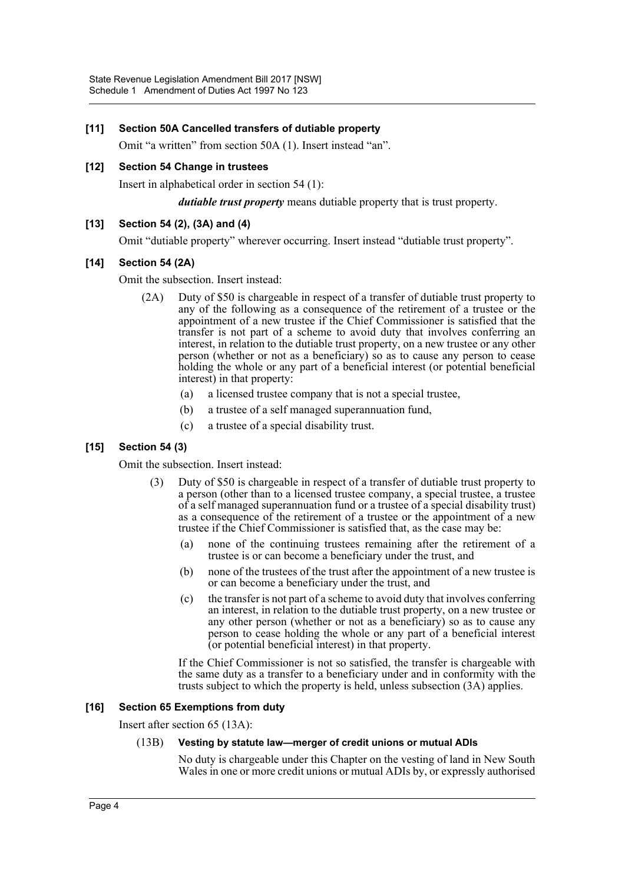#### **[11] Section 50A Cancelled transfers of dutiable property**

Omit "a written" from section 50A (1). Insert instead "an".

#### **[12] Section 54 Change in trustees**

Insert in alphabetical order in section 54 (1):

*dutiable trust property* means dutiable property that is trust property.

#### **[13] Section 54 (2), (3A) and (4)**

Omit "dutiable property" wherever occurring. Insert instead "dutiable trust property".

#### **[14] Section 54 (2A)**

Omit the subsection. Insert instead:

- (2A) Duty of \$50 is chargeable in respect of a transfer of dutiable trust property to any of the following as a consequence of the retirement of a trustee or the appointment of a new trustee if the Chief Commissioner is satisfied that the transfer is not part of a scheme to avoid duty that involves conferring an interest, in relation to the dutiable trust property, on a new trustee or any other person (whether or not as a beneficiary) so as to cause any person to cease holding the whole or any part of a beneficial interest (or potential beneficial interest) in that property:
	- (a) a licensed trustee company that is not a special trustee,
	- (b) a trustee of a self managed superannuation fund,
	- (c) a trustee of a special disability trust.

#### **[15] Section 54 (3)**

Omit the subsection. Insert instead:

- (3) Duty of \$50 is chargeable in respect of a transfer of dutiable trust property to a person (other than to a licensed trustee company, a special trustee, a trustee of a self managed superannuation fund or a trustee of a special disability trust) as a consequence of the retirement of a trustee or the appointment of a new trustee if the Chief Commissioner is satisfied that, as the case may be:
	- (a) none of the continuing trustees remaining after the retirement of a trustee is or can become a beneficiary under the trust, and
	- (b) none of the trustees of the trust after the appointment of a new trustee is or can become a beneficiary under the trust, and
	- (c) the transfer is not part of a scheme to avoid duty that involves conferring an interest, in relation to the dutiable trust property, on a new trustee or any other person (whether or not as a beneficiary) so as to cause any person to cease holding the whole or any part of a beneficial interest (or potential beneficial interest) in that property.

If the Chief Commissioner is not so satisfied, the transfer is chargeable with the same duty as a transfer to a beneficiary under and in conformity with the trusts subject to which the property is held, unless subsection (3A) applies.

#### **[16] Section 65 Exemptions from duty**

Insert after section 65 (13A):

#### (13B) **Vesting by statute law—merger of credit unions or mutual ADIs**

No duty is chargeable under this Chapter on the vesting of land in New South Wales in one or more credit unions or mutual ADIs by, or expressly authorised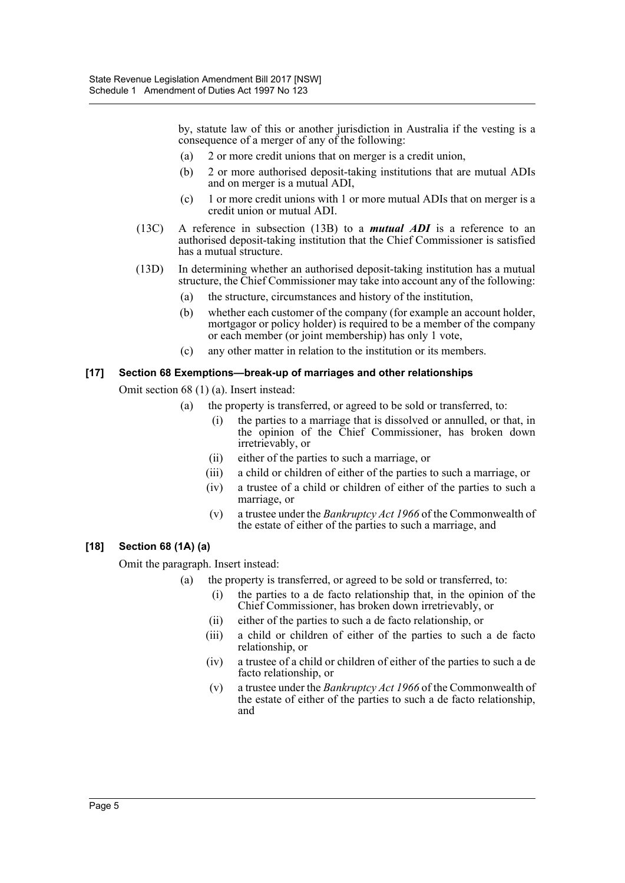by, statute law of this or another jurisdiction in Australia if the vesting is a consequence of a merger of any of the following:

- (a) 2 or more credit unions that on merger is a credit union,
- (b) 2 or more authorised deposit-taking institutions that are mutual ADIs and on merger is a mutual ADI,
- (c) 1 or more credit unions with 1 or more mutual ADIs that on merger is a credit union or mutual ADI.
- (13C) A reference in subsection (13B) to a *mutual ADI* is a reference to an authorised deposit-taking institution that the Chief Commissioner is satisfied has a mutual structure.
- (13D) In determining whether an authorised deposit-taking institution has a mutual structure, the Chief Commissioner may take into account any of the following:
	- (a) the structure, circumstances and history of the institution,
	- (b) whether each customer of the company (for example an account holder, mortgagor or policy holder) is required to be a member of the company or each member (or joint membership) has only 1 vote,
	- (c) any other matter in relation to the institution or its members.

#### **[17] Section 68 Exemptions—break-up of marriages and other relationships**

Omit section 68 (1) (a). Insert instead:

- (a) the property is transferred, or agreed to be sold or transferred, to:
	- (i) the parties to a marriage that is dissolved or annulled, or that, in the opinion of the Chief Commissioner, has broken down irretrievably, or
	- (ii) either of the parties to such a marriage, or
	- (iii) a child or children of either of the parties to such a marriage, or
	- (iv) a trustee of a child or children of either of the parties to such a marriage, or
	- (v) a trustee under the *Bankruptcy Act 1966* of the Commonwealth of the estate of either of the parties to such a marriage, and

#### **[18] Section 68 (1A) (a)**

Omit the paragraph. Insert instead:

- (a) the property is transferred, or agreed to be sold or transferred, to:
	- (i) the parties to a de facto relationship that, in the opinion of the Chief Commissioner, has broken down irretrievably, or
	- (ii) either of the parties to such a de facto relationship, or
	- (iii) a child or children of either of the parties to such a de facto relationship, or
	- (iv) a trustee of a child or children of either of the parties to such a de facto relationship, or
	- (v) a trustee under the *Bankruptcy Act 1966* of the Commonwealth of the estate of either of the parties to such a de facto relationship, and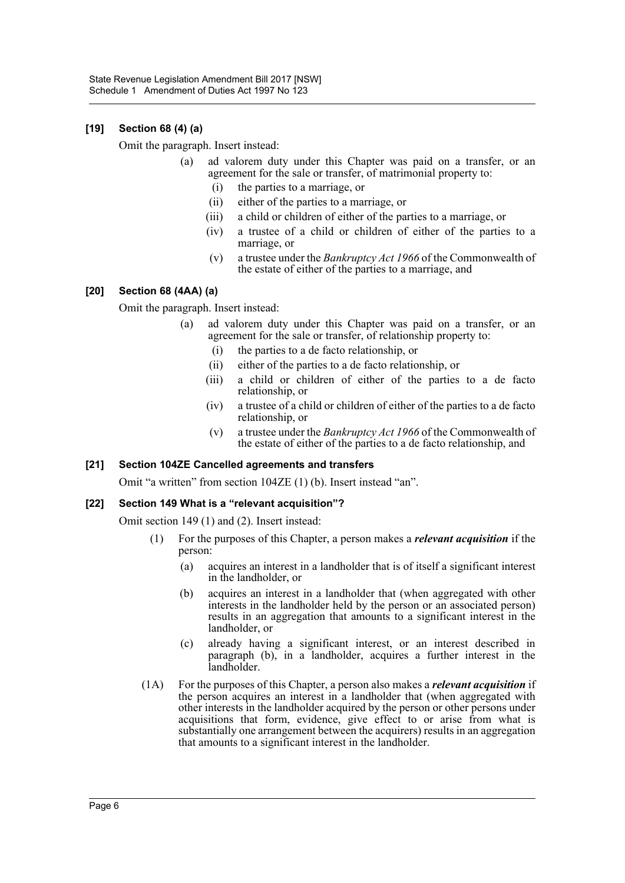### **[19] Section 68 (4) (a)**

Omit the paragraph. Insert instead:

- (a) ad valorem duty under this Chapter was paid on a transfer, or an agreement for the sale or transfer, of matrimonial property to:
	- (i) the parties to a marriage, or
	- (ii) either of the parties to a marriage, or
	- (iii) a child or children of either of the parties to a marriage, or
	- (iv) a trustee of a child or children of either of the parties to a marriage, or
	- (v) a trustee under the *Bankruptcy Act 1966* of the Commonwealth of the estate of either of the parties to a marriage, and

#### **[20] Section 68 (4AA) (a)**

Omit the paragraph. Insert instead:

- (a) ad valorem duty under this Chapter was paid on a transfer, or an agreement for the sale or transfer, of relationship property to:
	- (i) the parties to a de facto relationship, or
	- (ii) either of the parties to a de facto relationship, or
	- (iii) a child or children of either of the parties to a de facto relationship, or
	- (iv) a trustee of a child or children of either of the parties to a de facto relationship, or
	- (v) a trustee under the *Bankruptcy Act 1966* of the Commonwealth of the estate of either of the parties to a de facto relationship, and

#### **[21] Section 104ZE Cancelled agreements and transfers**

Omit "a written" from section 104ZE (1) (b). Insert instead "an".

#### **[22] Section 149 What is a "relevant acquisition"?**

Omit section 149 (1) and (2). Insert instead:

- (1) For the purposes of this Chapter, a person makes a *relevant acquisition* if the person:
	- (a) acquires an interest in a landholder that is of itself a significant interest in the landholder, or
	- (b) acquires an interest in a landholder that (when aggregated with other interests in the landholder held by the person or an associated person) results in an aggregation that amounts to a significant interest in the landholder, or
	- (c) already having a significant interest, or an interest described in paragraph (b), in a landholder, acquires a further interest in the landholder.
- (1A) For the purposes of this Chapter, a person also makes a *relevant acquisition* if the person acquires an interest in a landholder that (when aggregated with other interests in the landholder acquired by the person or other persons under acquisitions that form, evidence, give effect to or arise from what is substantially one arrangement between the acquirers) results in an aggregation that amounts to a significant interest in the landholder.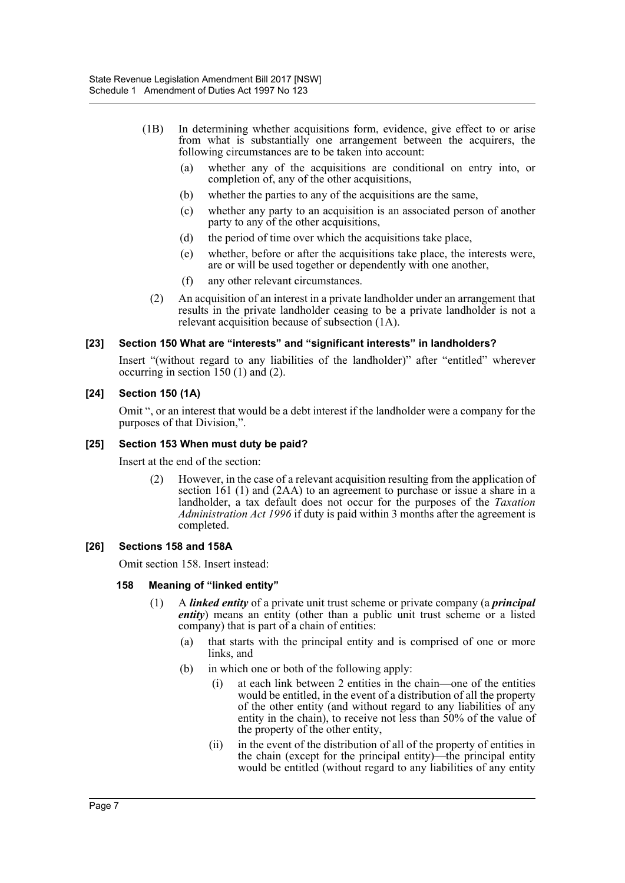- (1B) In determining whether acquisitions form, evidence, give effect to or arise from what is substantially one arrangement between the acquirers, the following circumstances are to be taken into account:
	- (a) whether any of the acquisitions are conditional on entry into, or completion of, any of the other acquisitions,
	- (b) whether the parties to any of the acquisitions are the same,
	- (c) whether any party to an acquisition is an associated person of another party to any of the other acquisitions,
	- (d) the period of time over which the acquisitions take place,
	- (e) whether, before or after the acquisitions take place, the interests were, are or will be used together or dependently with one another,
	- (f) any other relevant circumstances.
	- (2) An acquisition of an interest in a private landholder under an arrangement that results in the private landholder ceasing to be a private landholder is not a relevant acquisition because of subsection (1A).

#### **[23] Section 150 What are "interests" and "significant interests" in landholders?**

Insert "(without regard to any liabilities of the landholder)" after "entitled" wherever occurring in section 150 (1) and (2).

#### **[24] Section 150 (1A)**

Omit ", or an interest that would be a debt interest if the landholder were a company for the purposes of that Division,".

#### **[25] Section 153 When must duty be paid?**

Insert at the end of the section:

(2) However, in the case of a relevant acquisition resulting from the application of section 161 (1) and (2AA) to an agreement to purchase or issue a share in a landholder, a tax default does not occur for the purposes of the *Taxation Administration Act 1996* if duty is paid within 3 months after the agreement is completed.

#### **[26] Sections 158 and 158A**

Omit section 158. Insert instead:

#### **158 Meaning of "linked entity"**

- (1) A *linked entity* of a private unit trust scheme or private company (a *principal entity*) means an entity (other than a public unit trust scheme or a listed company) that is part of a chain of entities:
	- (a) that starts with the principal entity and is comprised of one or more links, and
	- (b) in which one or both of the following apply:
		- (i) at each link between 2 entities in the chain—one of the entities would be entitled, in the event of a distribution of all the property of the other entity (and without regard to any liabilities of any entity in the chain), to receive not less than 50% of the value of the property of the other entity,
		- (ii) in the event of the distribution of all of the property of entities in the chain (except for the principal entity)—the principal entity would be entitled (without regard to any liabilities of any entity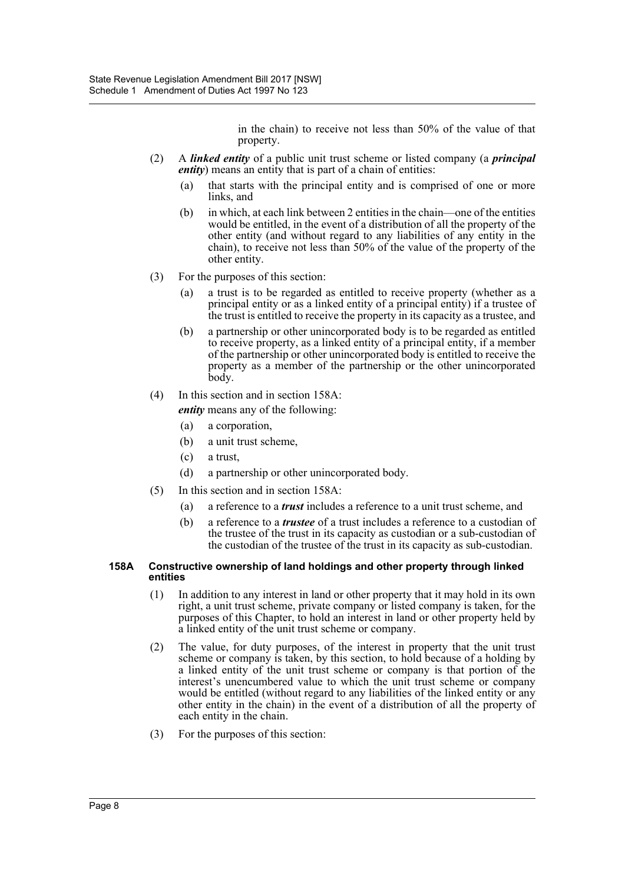in the chain) to receive not less than 50% of the value of that property.

- (2) A *linked entity* of a public unit trust scheme or listed company (a *principal entity*) means an entity that is part of a chain of entities:
	- (a) that starts with the principal entity and is comprised of one or more links, and
	- (b) in which, at each link between 2 entities in the chain—one of the entities would be entitled, in the event of a distribution of all the property of the other entity (and without regard to any liabilities of any entity in the chain), to receive not less than 50% of the value of the property of the other entity.
- (3) For the purposes of this section:
	- (a) a trust is to be regarded as entitled to receive property (whether as a principal entity or as a linked entity of a principal entity) if a trustee of the trust is entitled to receive the property in its capacity as a trustee, and
	- (b) a partnership or other unincorporated body is to be regarded as entitled to receive property, as a linked entity of a principal entity, if a member of the partnership or other unincorporated body is entitled to receive the property as a member of the partnership or the other unincorporated body.
- (4) In this section and in section 158A:

*entity* means any of the following:

- (a) a corporation,
- (b) a unit trust scheme,
- (c) a trust,
- (d) a partnership or other unincorporated body.
- (5) In this section and in section 158A:
	- (a) a reference to a *trust* includes a reference to a unit trust scheme, and
	- (b) a reference to a *trustee* of a trust includes a reference to a custodian of the trustee of the trust in its capacity as custodian or a sub-custodian of the custodian of the trustee of the trust in its capacity as sub-custodian.

#### **158A Constructive ownership of land holdings and other property through linked entities**

- (1) In addition to any interest in land or other property that it may hold in its own right, a unit trust scheme, private company or listed company is taken, for the purposes of this Chapter, to hold an interest in land or other property held by a linked entity of the unit trust scheme or company.
- (2) The value, for duty purposes, of the interest in property that the unit trust scheme or company is taken, by this section, to hold because of a holding by a linked entity of the unit trust scheme or company is that portion of the interest's unencumbered value to which the unit trust scheme or company would be entitled (without regard to any liabilities of the linked entity or any other entity in the chain) in the event of a distribution of all the property of each entity in the chain.
- (3) For the purposes of this section: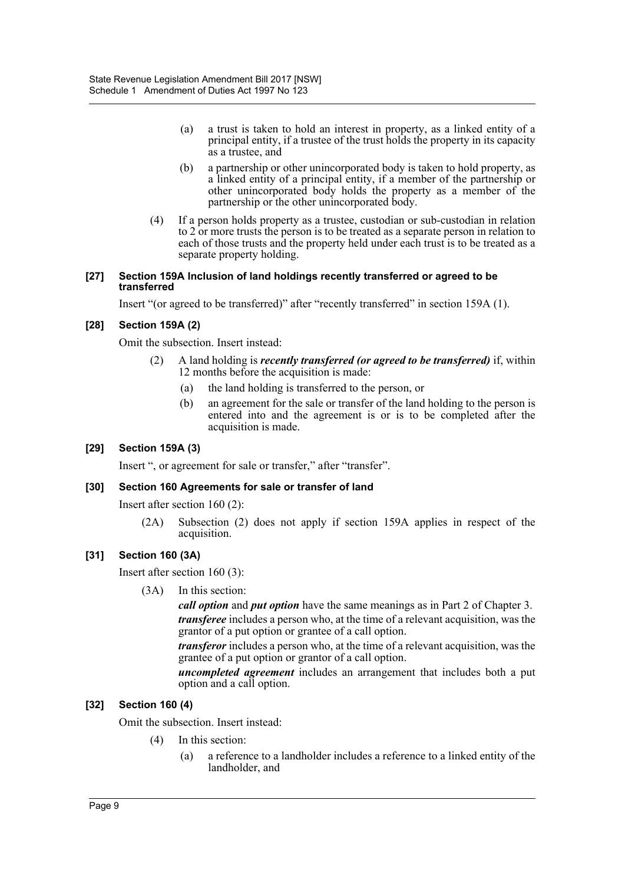- (a) a trust is taken to hold an interest in property, as a linked entity of a principal entity, if a trustee of the trust holds the property in its capacity as a trustee, and
- (b) a partnership or other unincorporated body is taken to hold property, as a linked entity of a principal entity, if a member of the partnership or other unincorporated body holds the property as a member of the partnership or the other unincorporated body.
- (4) If a person holds property as a trustee, custodian or sub-custodian in relation to 2 or more trusts the person is to be treated as a separate person in relation to each of those trusts and the property held under each trust is to be treated as a separate property holding.

#### **[27] Section 159A Inclusion of land holdings recently transferred or agreed to be transferred**

Insert "(or agreed to be transferred)" after "recently transferred" in section 159A (1).

#### **[28] Section 159A (2)**

Omit the subsection. Insert instead:

- (2) A land holding is *recently transferred (or agreed to be transferred)* if, within 12 months before the acquisition is made:
	- (a) the land holding is transferred to the person, or
	- (b) an agreement for the sale or transfer of the land holding to the person is entered into and the agreement is or is to be completed after the acquisition is made.

#### **[29] Section 159A (3)**

Insert ", or agreement for sale or transfer," after "transfer".

#### **[30] Section 160 Agreements for sale or transfer of land**

Insert after section 160 (2):

(2A) Subsection (2) does not apply if section 159A applies in respect of the acquisition.

#### **[31] Section 160 (3A)**

Insert after section 160 (3):

(3A) In this section:

*call option* and *put option* have the same meanings as in Part 2 of Chapter 3. *transferee* includes a person who, at the time of a relevant acquisition, was the grantor of a put option or grantee of a call option.

*transferor* includes a person who, at the time of a relevant acquisition, was the grantee of a put option or grantor of a call option.

*uncompleted agreement* includes an arrangement that includes both a put option and a call option.

#### **[32] Section 160 (4)**

Omit the subsection. Insert instead:

- (4) In this section:
	- (a) a reference to a landholder includes a reference to a linked entity of the landholder, and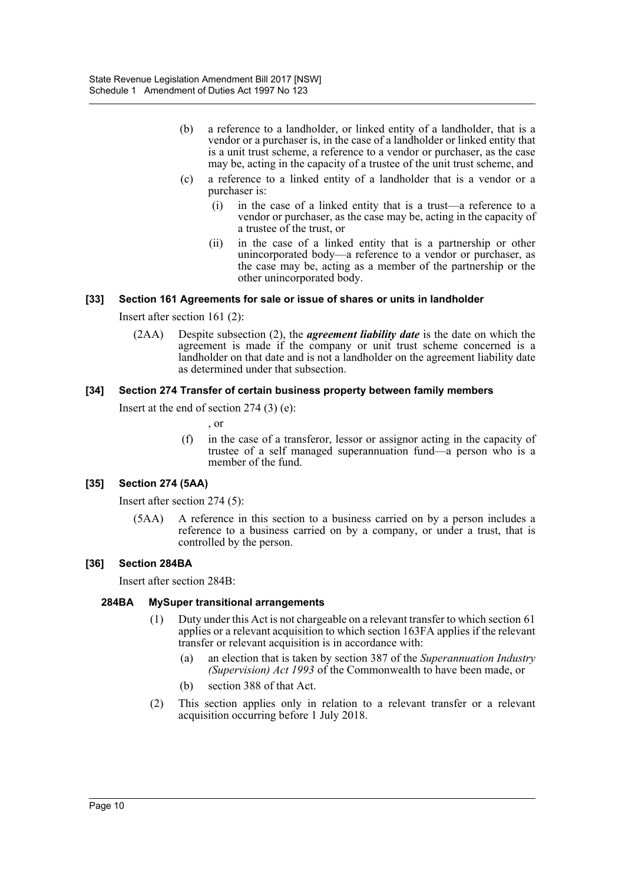- (b) a reference to a landholder, or linked entity of a landholder, that is a vendor or a purchaser is, in the case of a landholder or linked entity that is a unit trust scheme, a reference to a vendor or purchaser, as the case may be, acting in the capacity of a trustee of the unit trust scheme, and
- (c) a reference to a linked entity of a landholder that is a vendor or a purchaser is:
	- (i) in the case of a linked entity that is a trust—a reference to a vendor or purchaser, as the case may be, acting in the capacity of a trustee of the trust, or
	- (ii) in the case of a linked entity that is a partnership or other unincorporated body—a reference to a vendor or purchaser, as the case may be, acting as a member of the partnership or the other unincorporated body.

#### **[33] Section 161 Agreements for sale or issue of shares or units in landholder**

Insert after section 161 (2):

(2AA) Despite subsection (2), the *agreement liability date* is the date on which the agreement is made if the company or unit trust scheme concerned is a landholder on that date and is not a landholder on the agreement liability date as determined under that subsection.

#### **[34] Section 274 Transfer of certain business property between family members**

Insert at the end of section 274 (3) (e):

, or

(f) in the case of a transferor, lessor or assignor acting in the capacity of trustee of a self managed superannuation fund—a person who is a member of the fund.

#### **[35] Section 274 (5AA)**

Insert after section 274 (5):

(5AA) A reference in this section to a business carried on by a person includes a reference to a business carried on by a company, or under a trust, that is controlled by the person.

#### **[36] Section 284BA**

Insert after section 284B:

#### **284BA MySuper transitional arrangements**

- (1) Duty under this Act is not chargeable on a relevant transfer to which section 61 applies or a relevant acquisition to which section 163FA applies if the relevant transfer or relevant acquisition is in accordance with:
	- (a) an election that is taken by section 387 of the *Superannuation Industry (Supervision) Act 1993* of the Commonwealth to have been made, or
	- (b) section 388 of that Act.
- (2) This section applies only in relation to a relevant transfer or a relevant acquisition occurring before 1 July 2018.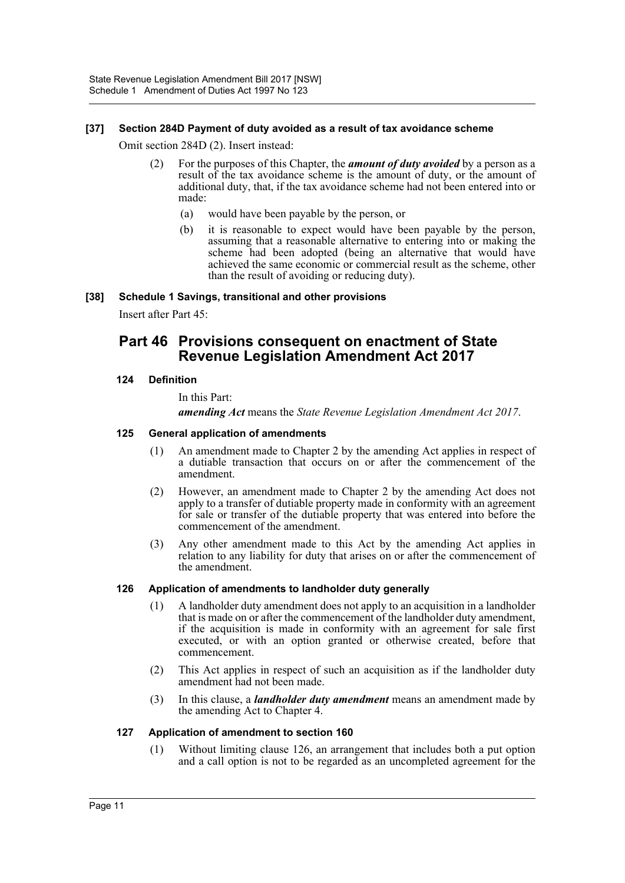#### **[37] Section 284D Payment of duty avoided as a result of tax avoidance scheme**

Omit section 284D (2). Insert instead:

- (2) For the purposes of this Chapter, the *amount of duty avoided* by a person as a result of the tax avoidance scheme is the amount of duty, or the amount of additional duty, that, if the tax avoidance scheme had not been entered into or made:
	- (a) would have been payable by the person, or
	- (b) it is reasonable to expect would have been payable by the person, assuming that a reasonable alternative to entering into or making the scheme had been adopted (being an alternative that would have achieved the same economic or commercial result as the scheme, other than the result of avoiding or reducing duty).

#### **[38] Schedule 1 Savings, transitional and other provisions**

Insert after Part 45:

## **Part 46 Provisions consequent on enactment of State Revenue Legislation Amendment Act 2017**

#### **124 Definition**

In this Part:

*amending Act* means the *State Revenue Legislation Amendment Act 2017*.

#### **125 General application of amendments**

- (1) An amendment made to Chapter 2 by the amending Act applies in respect of a dutiable transaction that occurs on or after the commencement of the amendment.
- (2) However, an amendment made to Chapter 2 by the amending Act does not apply to a transfer of dutiable property made in conformity with an agreement for sale or transfer of the dutiable property that was entered into before the commencement of the amendment.
- (3) Any other amendment made to this Act by the amending Act applies in relation to any liability for duty that arises on or after the commencement of the amendment.

#### **126 Application of amendments to landholder duty generally**

- (1) A landholder duty amendment does not apply to an acquisition in a landholder that is made on or after the commencement of the landholder duty amendment, if the acquisition is made in conformity with an agreement for sale first executed, or with an option granted or otherwise created, before that commencement.
- (2) This Act applies in respect of such an acquisition as if the landholder duty amendment had not been made.
- (3) In this clause, a *landholder duty amendment* means an amendment made by the amending Act to Chapter 4.

#### **127 Application of amendment to section 160**

(1) Without limiting clause 126, an arrangement that includes both a put option and a call option is not to be regarded as an uncompleted agreement for the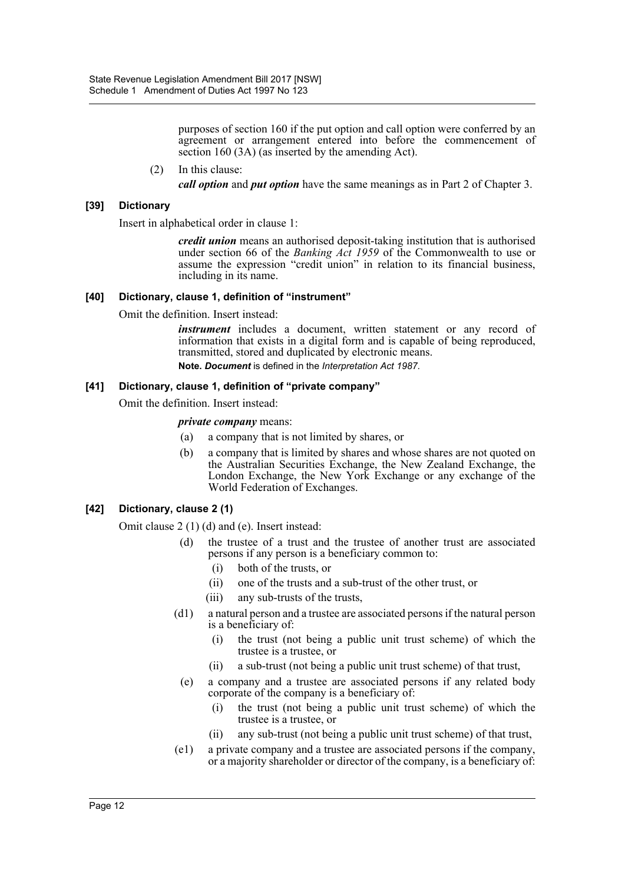purposes of section 160 if the put option and call option were conferred by an agreement or arrangement entered into before the commencement of section 160 (3A) (as inserted by the amending Act).

#### (2) In this clause:

*call option* and *put option* have the same meanings as in Part 2 of Chapter 3.

#### **[39] Dictionary**

Insert in alphabetical order in clause 1:

*credit union* means an authorised deposit-taking institution that is authorised under section 66 of the *Banking Act 1959* of the Commonwealth to use or assume the expression "credit union" in relation to its financial business, including in its name.

#### **[40] Dictionary, clause 1, definition of "instrument"**

Omit the definition. Insert instead:

*instrument* includes a document, written statement or any record of information that exists in a digital form and is capable of being reproduced, transmitted, stored and duplicated by electronic means. **Note.** *Document* is defined in the *Interpretation Act 1987*.

#### **[41] Dictionary, clause 1, definition of "private company"**

Omit the definition. Insert instead:

*private company* means:

- (a) a company that is not limited by shares, or
- (b) a company that is limited by shares and whose shares are not quoted on the Australian Securities Exchange, the New Zealand Exchange, the London Exchange, the New York Exchange or any exchange of the World Federation of Exchanges.

#### **[42] Dictionary, clause 2 (1)**

Omit clause 2 (1) (d) and (e). Insert instead:

- (d) the trustee of a trust and the trustee of another trust are associated persons if any person is a beneficiary common to:
	- (i) both of the trusts, or
	- (ii) one of the trusts and a sub-trust of the other trust, or
	- (iii) any sub-trusts of the trusts,
- (d1) a natural person and a trustee are associated persons if the natural person is a beneficiary of:
	- (i) the trust (not being a public unit trust scheme) of which the trustee is a trustee, or
	- (ii) a sub-trust (not being a public unit trust scheme) of that trust,
- (e) a company and a trustee are associated persons if any related body corporate of the company is a beneficiary of:
	- (i) the trust (not being a public unit trust scheme) of which the trustee is a trustee, or
	- (ii) any sub-trust (not being a public unit trust scheme) of that trust,
- (e1) a private company and a trustee are associated persons if the company, or a majority shareholder or director of the company, is a beneficiary of: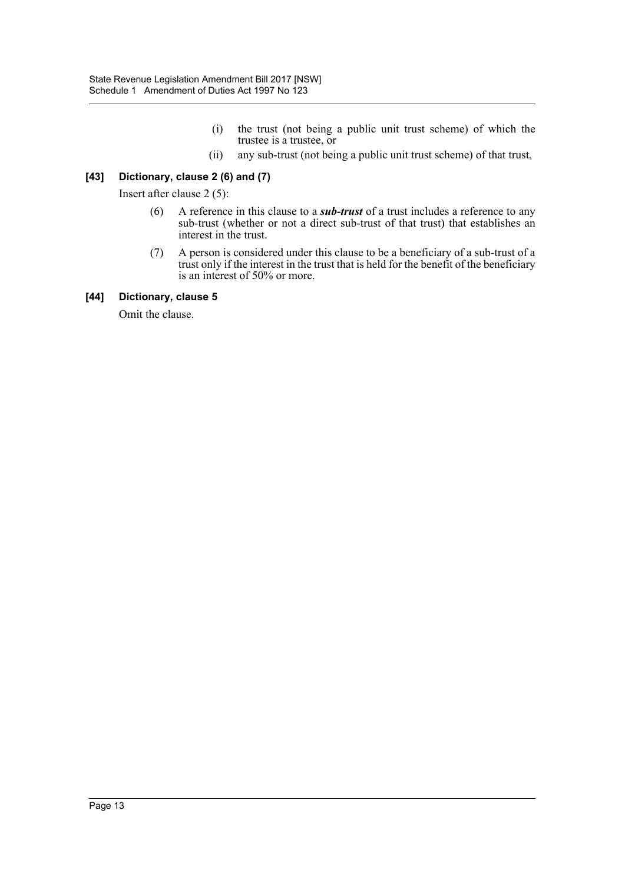- (i) the trust (not being a public unit trust scheme) of which the trustee is a trustee, or
- (ii) any sub-trust (not being a public unit trust scheme) of that trust,

#### **[43] Dictionary, clause 2 (6) and (7)**

Insert after clause 2 (5):

- (6) A reference in this clause to a *sub-trust* of a trust includes a reference to any sub-trust (whether or not a direct sub-trust of that trust) that establishes an interest in the trust.
- (7) A person is considered under this clause to be a beneficiary of a sub-trust of a trust only if the interest in the trust that is held for the benefit of the beneficiary is an interest of 50% or more.

#### **[44] Dictionary, clause 5**

Omit the clause.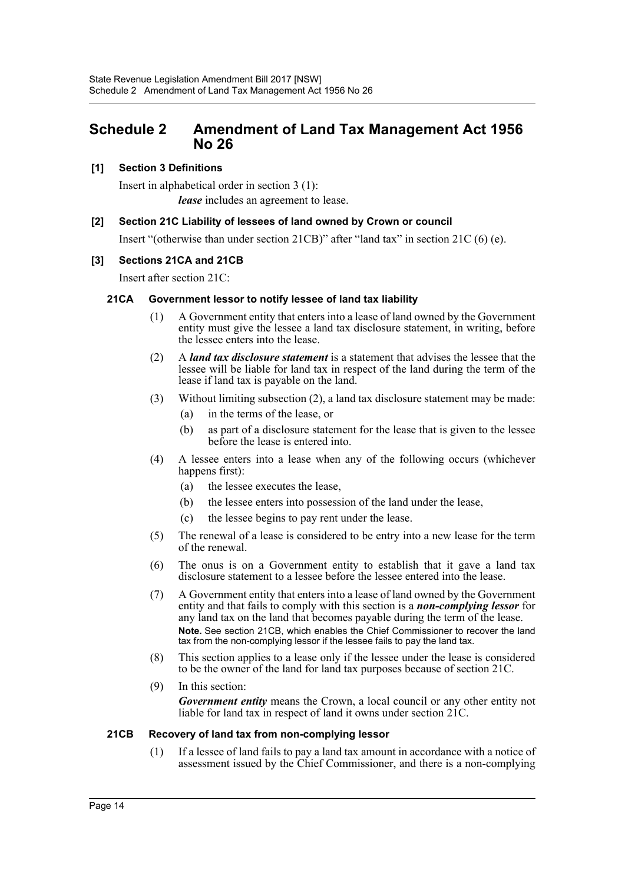## <span id="page-14-0"></span>**Schedule 2 Amendment of Land Tax Management Act 1956 No 26**

#### **[1] Section 3 Definitions**

Insert in alphabetical order in section 3 (1): *lease* includes an agreement to lease.

#### **[2] Section 21C Liability of lessees of land owned by Crown or council**

Insert "(otherwise than under section 21CB)" after "land tax" in section 21C (6) (e).

#### **[3] Sections 21CA and 21CB**

Insert after section 21C:

#### **21CA Government lessor to notify lessee of land tax liability**

- (1) A Government entity that enters into a lease of land owned by the Government entity must give the lessee a land tax disclosure statement, in writing, before the lessee enters into the lease.
- (2) A *land tax disclosure statement* is a statement that advises the lessee that the lessee will be liable for land tax in respect of the land during the term of the lease if land tax is payable on the land.
- (3) Without limiting subsection (2), a land tax disclosure statement may be made:
	- (a) in the terms of the lease, or
	- (b) as part of a disclosure statement for the lease that is given to the lessee before the lease is entered into.
- (4) A lessee enters into a lease when any of the following occurs (whichever happens first):
	- (a) the lessee executes the lease,
	- (b) the lessee enters into possession of the land under the lease,
	- (c) the lessee begins to pay rent under the lease.
- (5) The renewal of a lease is considered to be entry into a new lease for the term of the renewal.
- (6) The onus is on a Government entity to establish that it gave a land tax disclosure statement to a lessee before the lessee entered into the lease.
- (7) A Government entity that enters into a lease of land owned by the Government entity and that fails to comply with this section is a *non-complying lessor* for any land tax on the land that becomes payable during the term of the lease. **Note.** See section 21CB, which enables the Chief Commissioner to recover the land tax from the non-complying lessor if the lessee fails to pay the land tax.
- (8) This section applies to a lease only if the lessee under the lease is considered to be the owner of the land for land tax purposes because of section 21C.
- (9) In this section:

*Government entity* means the Crown, a local council or any other entity not liable for land tax in respect of land it owns under section 21C.

#### **21CB Recovery of land tax from non-complying lessor**

(1) If a lessee of land fails to pay a land tax amount in accordance with a notice of assessment issued by the Chief Commissioner, and there is a non-complying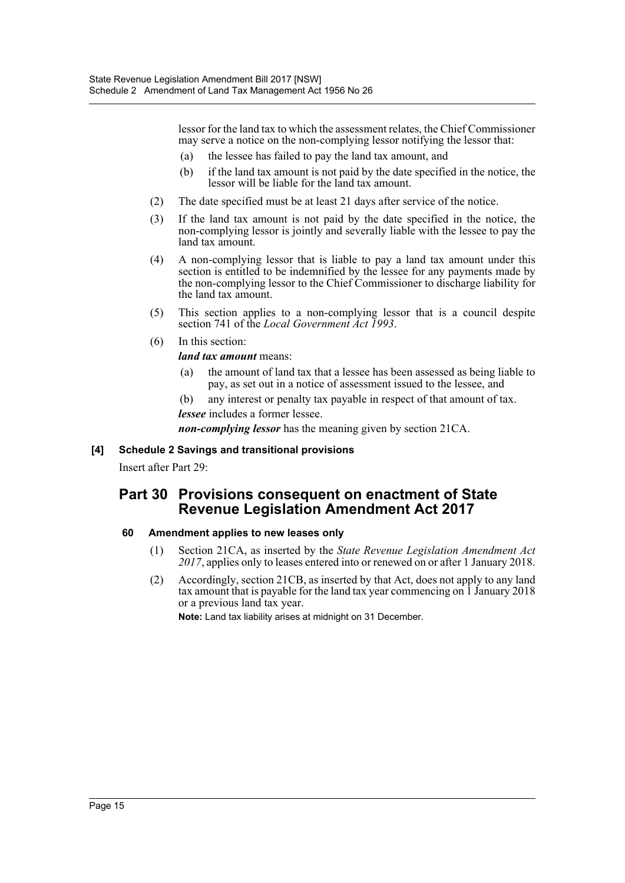lessor for the land tax to which the assessment relates, the Chief Commissioner may serve a notice on the non-complying lessor notifying the lessor that:

- (a) the lessee has failed to pay the land tax amount, and
- (b) if the land tax amount is not paid by the date specified in the notice, the lessor will be liable for the land tax amount.
- (2) The date specified must be at least 21 days after service of the notice.
- (3) If the land tax amount is not paid by the date specified in the notice, the non-complying lessor is jointly and severally liable with the lessee to pay the land tax amount.
- (4) A non-complying lessor that is liable to pay a land tax amount under this section is entitled to be indemnified by the lessee for any payments made by the non-complying lessor to the Chief Commissioner to discharge liability for the land tax amount.
- (5) This section applies to a non-complying lessor that is a council despite section 741 of the *Local Government Act 1993*.
- (6) In this section:

#### *land tax amount* means:

(a) the amount of land tax that a lessee has been assessed as being liable to pay, as set out in a notice of assessment issued to the lessee, and

(b) any interest or penalty tax payable in respect of that amount of tax. *lessee* includes a former lessee.

*non-complying lessor* has the meaning given by section 21CA.

#### **[4] Schedule 2 Savings and transitional provisions**

Insert after Part 29:

## **Part 30 Provisions consequent on enactment of State Revenue Legislation Amendment Act 2017**

#### **60 Amendment applies to new leases only**

- (1) Section 21CA, as inserted by the *State Revenue Legislation Amendment Act 2017*, applies only to leases entered into or renewed on or after 1 January 2018.
- (2) Accordingly, section 21CB, as inserted by that Act, does not apply to any land tax amount that is payable for the land tax year commencing on 1 January 2018 or a previous land tax year.

**Note:** Land tax liability arises at midnight on 31 December.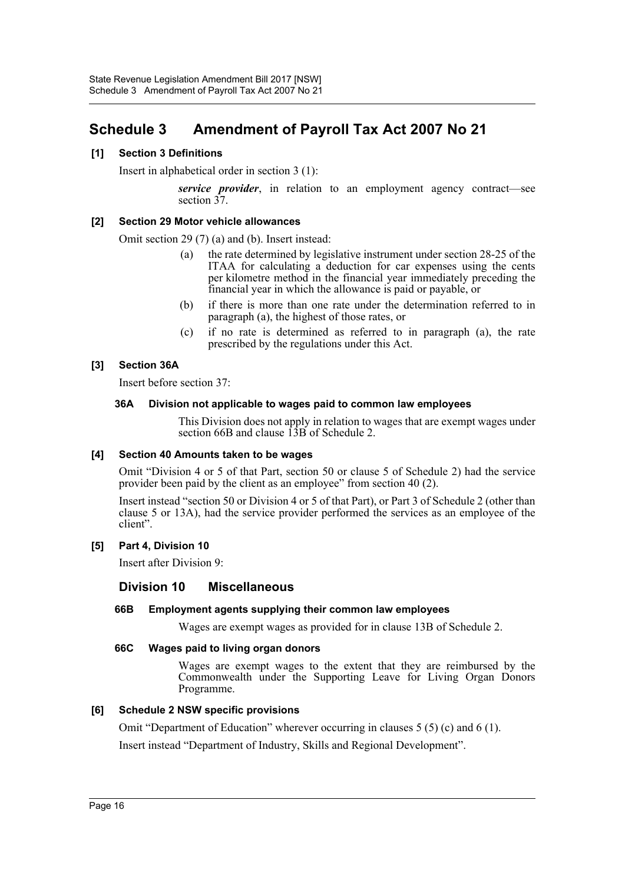# <span id="page-16-0"></span>**Schedule 3 Amendment of Payroll Tax Act 2007 No 21**

#### **[1] Section 3 Definitions**

Insert in alphabetical order in section 3 (1):

*service provider*, in relation to an employment agency contract—see section  $37$ .

#### **[2] Section 29 Motor vehicle allowances**

Omit section 29 (7) (a) and (b). Insert instead:

- (a) the rate determined by legislative instrument under section 28-25 of the ITAA for calculating a deduction for car expenses using the cents per kilometre method in the financial year immediately preceding the financial year in which the allowance is paid or payable, or
- (b) if there is more than one rate under the determination referred to in paragraph (a), the highest of those rates, or
- (c) if no rate is determined as referred to in paragraph (a), the rate prescribed by the regulations under this Act.

#### **[3] Section 36A**

Insert before section 37:

#### **36A Division not applicable to wages paid to common law employees**

This Division does not apply in relation to wages that are exempt wages under section 66B and clause  $\hat{13B}$  of Schedule 2.

#### **[4] Section 40 Amounts taken to be wages**

Omit "Division 4 or 5 of that Part, section 50 or clause 5 of Schedule 2) had the service provider been paid by the client as an employee" from section 40 (2).

Insert instead "section 50 or Division 4 or 5 of that Part), or Part 3 of Schedule 2 (other than clause 5 or 13A), had the service provider performed the services as an employee of the client".

#### **[5] Part 4, Division 10**

Insert after Division 9:

#### **Division 10 Miscellaneous**

#### **66B Employment agents supplying their common law employees**

Wages are exempt wages as provided for in clause 13B of Schedule 2.

#### **66C Wages paid to living organ donors**

Wages are exempt wages to the extent that they are reimbursed by the Commonwealth under the Supporting Leave for Living Organ Donors Programme.

#### **[6] Schedule 2 NSW specific provisions**

Omit "Department of Education" wherever occurring in clauses 5 (5) (c) and 6 (1).

Insert instead "Department of Industry, Skills and Regional Development".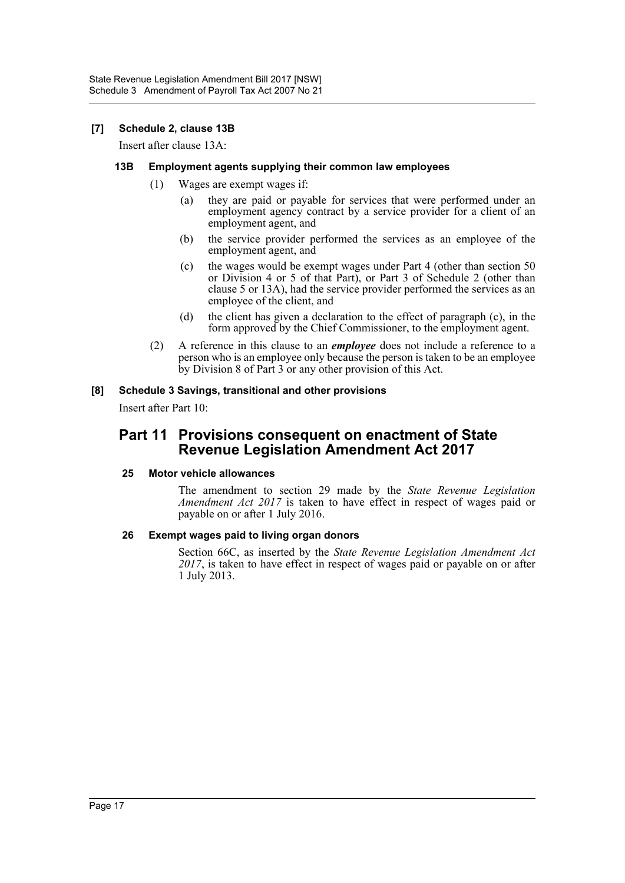#### **[7] Schedule 2, clause 13B**

Insert after clause 13A:

#### **13B Employment agents supplying their common law employees**

- (1) Wages are exempt wages if:
	- (a) they are paid or payable for services that were performed under an employment agency contract by a service provider for a client of an employment agent, and
	- (b) the service provider performed the services as an employee of the employment agent, and
	- (c) the wages would be exempt wages under Part 4 (other than section 50 or Division 4 or 5 of that Part), or Part 3 of Schedule 2 (other than clause 5 or 13A), had the service provider performed the services as an employee of the client, and
	- (d) the client has given a declaration to the effect of paragraph (c), in the form approved by the Chief Commissioner, to the employment agent.
- (2) A reference in this clause to an *employee* does not include a reference to a person who is an employee only because the person is taken to be an employee by Division 8 of Part 3 or any other provision of this Act.

#### **[8] Schedule 3 Savings, transitional and other provisions**

Insert after Part 10:

## **Part 11 Provisions consequent on enactment of State Revenue Legislation Amendment Act 2017**

#### **25 Motor vehicle allowances**

The amendment to section 29 made by the *State Revenue Legislation Amendment Act 2017* is taken to have effect in respect of wages paid or payable on or after 1 July 2016.

#### **26 Exempt wages paid to living organ donors**

Section 66C, as inserted by the *State Revenue Legislation Amendment Act 2017*, is taken to have effect in respect of wages paid or payable on or after 1 July 2013.